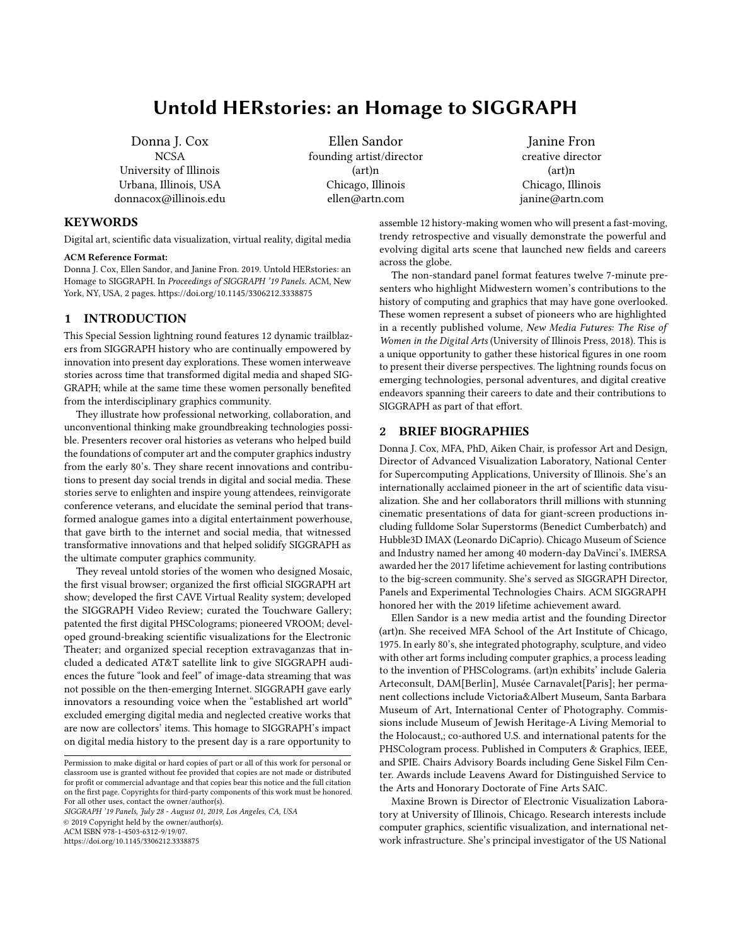# Untold HERstories: an Homage to SIGGRAPH

Donna J. Cox **NCSA** University of Illinois Urbana, Illinois, USA donnacox@illinois.edu

Ellen Sandor founding artist/director (art)n Chicago, Illinois ellen@artn.com

Janine Fron creative director (art)n Chicago, Illinois janine@artn.com

## **KEYWORDS**

Digital art, scientific data visualization, virtual reality, digital media

#### ACM Reference Format:

Donna J. Cox, Ellen Sandor, and Janine Fron. 2019. Untold HERstories: an Homage to SIGGRAPH. In Proceedings of SIGGRAPH '19 Panels. ACM, New York, NY, USA, [2](#page-1-0) pages.<https://doi.org/10.1145/3306212.3338875>

## 1 INTRODUCTION

This Special Session lightning round features 12 dynamic trailblazers from SIGGRAPH history who are continually empowered by innovation into present day explorations. These women interweave stories across time that transformed digital media and shaped SIG-GRAPH; while at the same time these women personally benefited from the interdisciplinary graphics community.

They illustrate how professional networking, collaboration, and unconventional thinking make groundbreaking technologies possible. Presenters recover oral histories as veterans who helped build the foundations of computer art and the computer graphics industry from the early 80's. They share recent innovations and contributions to present day social trends in digital and social media. These stories serve to enlighten and inspire young attendees, reinvigorate conference veterans, and elucidate the seminal period that transformed analogue games into a digital entertainment powerhouse, that gave birth to the internet and social media, that witnessed transformative innovations and that helped solidify SIGGRAPH as the ultimate computer graphics community.

They reveal untold stories of the women who designed Mosaic, the first visual browser; organized the first official SIGGRAPH art show; developed the first CAVE Virtual Reality system; developed the SIGGRAPH Video Review; curated the Touchware Gallery; patented the first digital PHSColograms; pioneered VROOM; developed ground-breaking scientific visualizations for the Electronic Theater; and organized special reception extravaganzas that included a dedicated AT&T satellite link to give SIGGRAPH audiences the future "look and feel" of image-data streaming that was not possible on the then-emerging Internet. SIGGRAPH gave early innovators a resounding voice when the "established art world" excluded emerging digital media and neglected creative works that are now are collectors' items. This homage to SIGGRAPH's impact on digital media history to the present day is a rare opportunity to

SIGGRAPH '19 Panels, July 28 - August 01, 2019, Los Angeles, CA, USA

© 2019 Copyright held by the owner/author(s).

ACM ISBN 978-1-4503-6312-9/19/07.

<https://doi.org/10.1145/3306212.3338875>

assemble 12 history-making women who will present a fast-moving, trendy retrospective and visually demonstrate the powerful and evolving digital arts scene that launched new fields and careers across the globe.

The non-standard panel format features twelve 7-minute presenters who highlight Midwestern women's contributions to the history of computing and graphics that may have gone overlooked. These women represent a subset of pioneers who are highlighted in a recently published volume, New Media Futures: The Rise of Women in the Digital Arts (University of Illinois Press, 2018). This is a unique opportunity to gather these historical figures in one room to present their diverse perspectives. The lightning rounds focus on emerging technologies, personal adventures, and digital creative endeavors spanning their careers to date and their contributions to SIGGRAPH as part of that effort.

### 2 BRIEF BIOGRAPHIES

Donna J. Cox, MFA, PhD, Aiken Chair, is professor Art and Design, Director of Advanced Visualization Laboratory, National Center for Supercomputing Applications, University of Illinois. She's an internationally acclaimed pioneer in the art of scientific data visualization. She and her collaborators thrill millions with stunning cinematic presentations of data for giant-screen productions including fulldome Solar Superstorms (Benedict Cumberbatch) and Hubble3D IMAX (Leonardo DiCaprio). Chicago Museum of Science and Industry named her among 40 modern-day DaVinci's. IMERSA awarded her the 2017 lifetime achievement for lasting contributions to the big-screen community. She's served as SIGGRAPH Director, Panels and Experimental Technologies Chairs. ACM SIGGRAPH honored her with the 2019 lifetime achievement award.

Ellen Sandor is a new media artist and the founding Director (art)n. She received MFA School of the Art Institute of Chicago, 1975. In early 80's, she integrated photography, sculpture, and video with other art forms including computer graphics, a process leading to the invention of PHSColograms. (art)n exhibits' include Galeria Arteconsult, DAM[Berlin], Musée Carnavalet[Paris]; her permanent collections include Victoria&Albert Museum, Santa Barbara Museum of Art, International Center of Photography. Commissions include Museum of Jewish Heritage-A Living Memorial to the Holocaust,; co-authored U.S. and international patents for the PHSCologram process. Published in Computers & Graphics, IEEE, and SPIE. Chairs Advisory Boards including Gene Siskel Film Center. Awards include Leavens Award for Distinguished Service to the Arts and Honorary Doctorate of Fine Arts SAIC.

Maxine Brown is Director of Electronic Visualization Laboratory at University of Illinois, Chicago. Research interests include computer graphics, scientific visualization, and international network infrastructure. She's principal investigator of the US National

Permission to make digital or hard copies of part or all of this work for personal or classroom use is granted without fee provided that copies are not made or distributed for profit or commercial advantage and that copies bear this notice and the full citation on the first page. Copyrights for third-party components of this work must be honored. For all other uses, contact the owner/author(s).